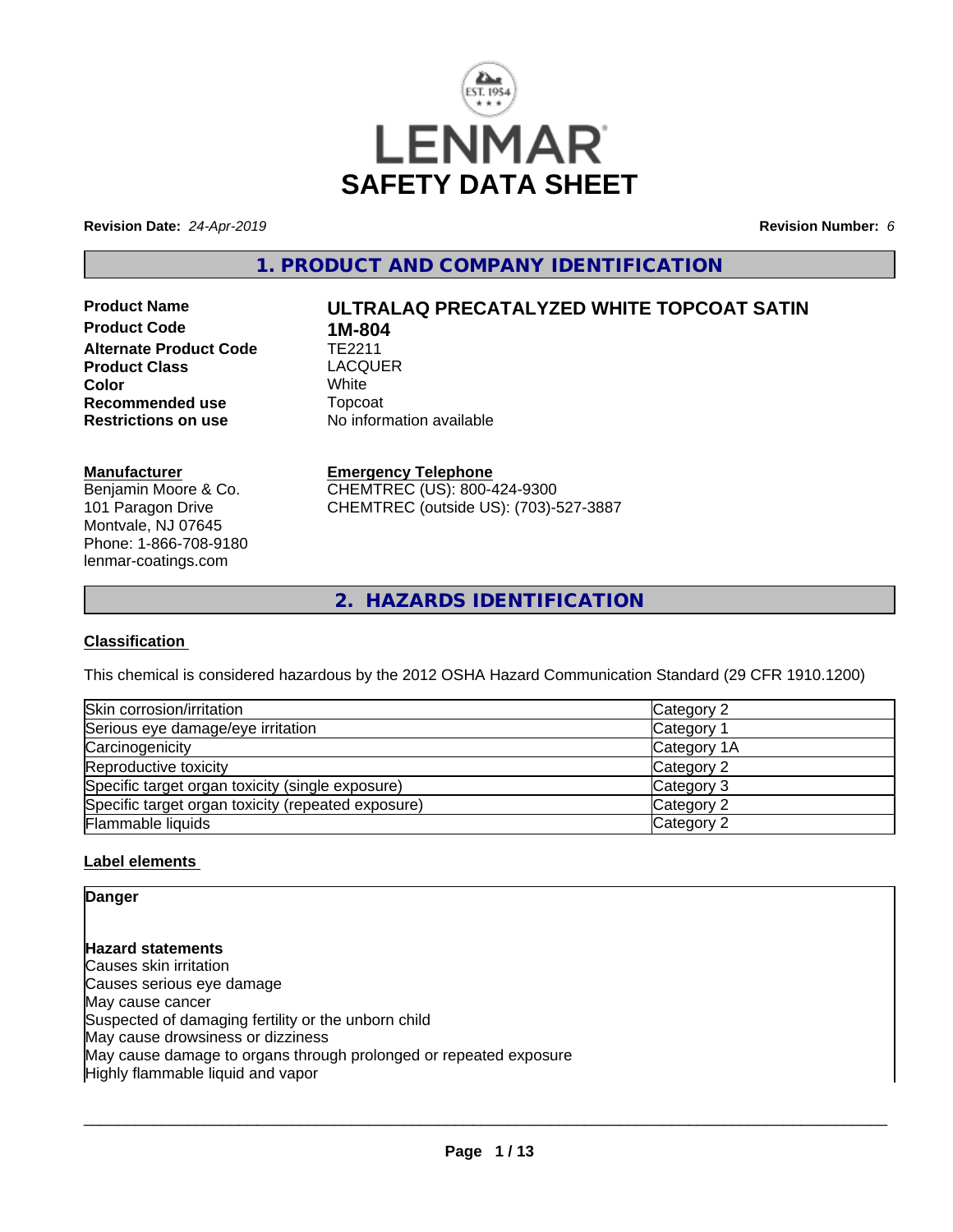

**Revision Date:** *24-Apr-2019* **Revision Number:** *6*

**1. PRODUCT AND COMPANY IDENTIFICATION**

**Product Code 1M-804**<br>**Alternate Product Code** TE2211 **Alternate Product Code TE2211**<br> **Product Class** LACOUER **Product Class** LACQ<br> **Color** White **Color** White White **Recommended use Topcoat Restrictions on use Theory Network** 

# **Product Name ULTRALAQ PRECATALYZED WHITE TOPCOAT SATIN**

**Restrictions on use** No information available

## **Manufacturer**

Benjamin Moore & Co. 101 Paragon Drive Montvale, NJ 07645 Phone: 1-866-708-9180 lenmar-coatings.com

## **Emergency Telephone**

CHEMTREC (US): 800-424-9300 CHEMTREC (outside US): (703)-527-3887

**2. HAZARDS IDENTIFICATION**

## **Classification**

This chemical is considered hazardous by the 2012 OSHA Hazard Communication Standard (29 CFR 1910.1200)

| Skin corrosion/irritation                          | Category 2  |  |
|----------------------------------------------------|-------------|--|
| Serious eye damage/eye irritation                  | Category 1  |  |
| Carcinogenicity                                    | Category 1A |  |
| Reproductive toxicity                              | Category 2  |  |
| Specific target organ toxicity (single exposure)   | Category 3  |  |
| Specific target organ toxicity (repeated exposure) | Category 2  |  |
| Flammable liquids                                  | Category 2  |  |

## **Label elements**

## **Danger**

**Hazard statements** Causes skin irritation Causes serious eye damage May cause cancer Suspected of damaging fertility or the unborn child May cause drowsiness or dizziness May cause damage to organs through prolonged or repeated exposure Highly flammable liquid and vapor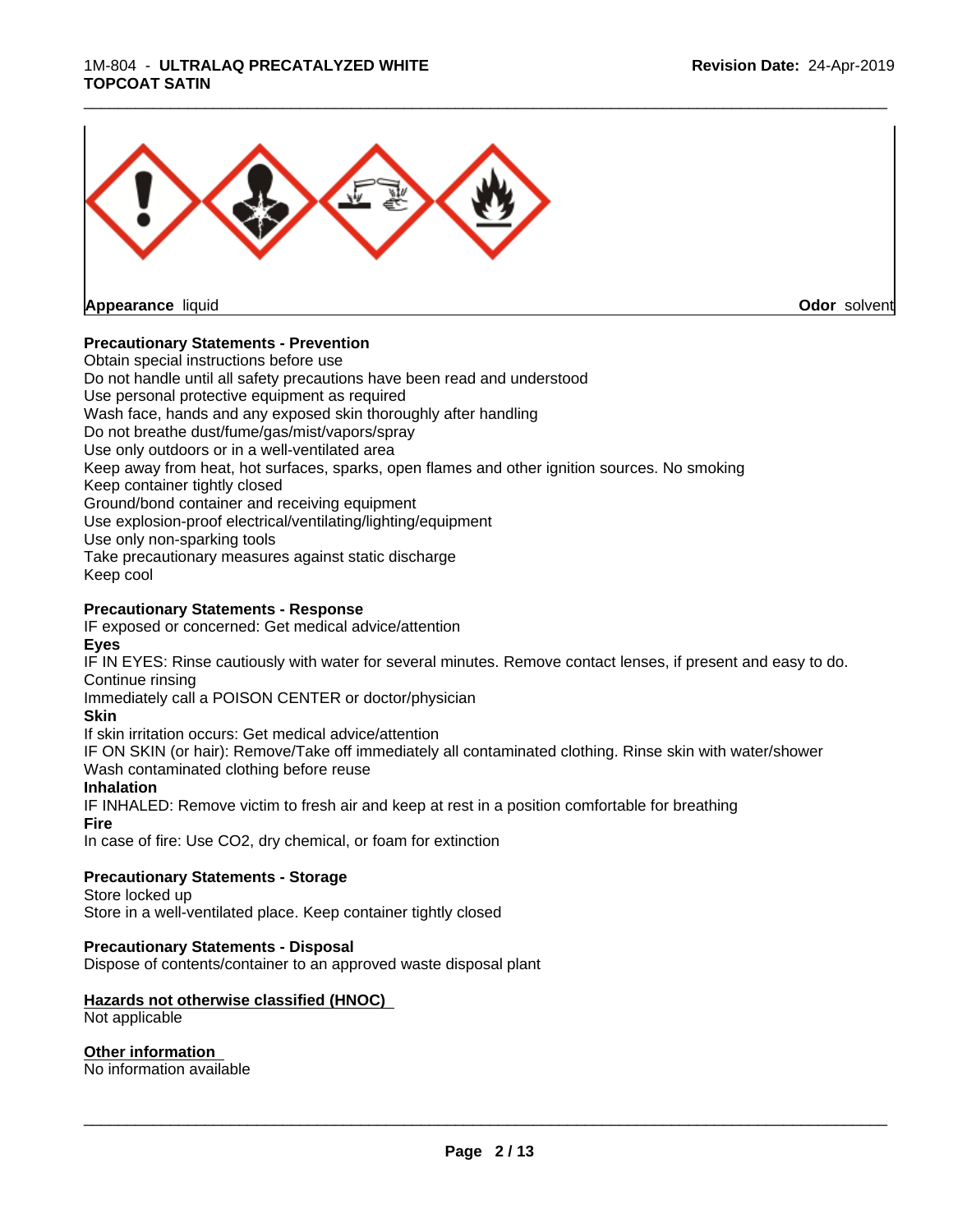#### 1M-804 - **ULTRALAQ PRECATALYZED WHITE TOPCOAT SATIN**



## **Precautionary Statements - Prevention**

Obtain special instructions before use

Do not handle until all safety precautions have been read and understood

Use personal protective equipment as required

Wash face, hands and any exposed skin thoroughly after handling

Do not breathe dust/fume/gas/mist/vapors/spray

Use only outdoors or in a well-ventilated area

Keep away from heat, hot surfaces, sparks, open flames and other ignition sources. No smoking

Keep container tightly closed

Ground/bond container and receiving equipment

Use explosion-proof electrical/ventilating/lighting/equipment

Use only non-sparking tools

Take precautionary measures against static discharge

Keep cool

#### **Precautionary Statements - Response**

IF exposed or concerned: Get medical advice/attention **Eyes**

IF IN EYES: Rinse cautiously with water for several minutes. Remove contact lenses, if present and easy to do. Continue rinsing

\_\_\_\_\_\_\_\_\_\_\_\_\_\_\_\_\_\_\_\_\_\_\_\_\_\_\_\_\_\_\_\_\_\_\_\_\_\_\_\_\_\_\_\_\_\_\_\_\_\_\_\_\_\_\_\_\_\_\_\_\_\_\_\_\_\_\_\_\_\_\_\_\_\_\_\_\_\_\_\_\_\_\_\_\_\_\_\_\_\_\_\_\_

Immediately call a POISON CENTER or doctor/physician

**Skin**

If skin irritation occurs: Get medical advice/attention

IF ON SKIN (or hair): Remove/Take off immediately all contaminated clothing. Rinse skin with water/shower Wash contaminated clothing before reuse

#### **Inhalation**

IF INHALED: Remove victim to fresh air and keep at rest in a position comfortable for breathing **Fire**

In case of fire: Use CO2, dry chemical, or foam for extinction

## **Precautionary Statements - Storage**

Store locked up

Store in a well-ventilated place. Keep container tightly closed

#### **Precautionary Statements - Disposal**

Dispose of contents/container to an approved waste disposal plant

## **Hazards not otherwise classified (HNOC)**

Not applicable

#### **Other information**

No information available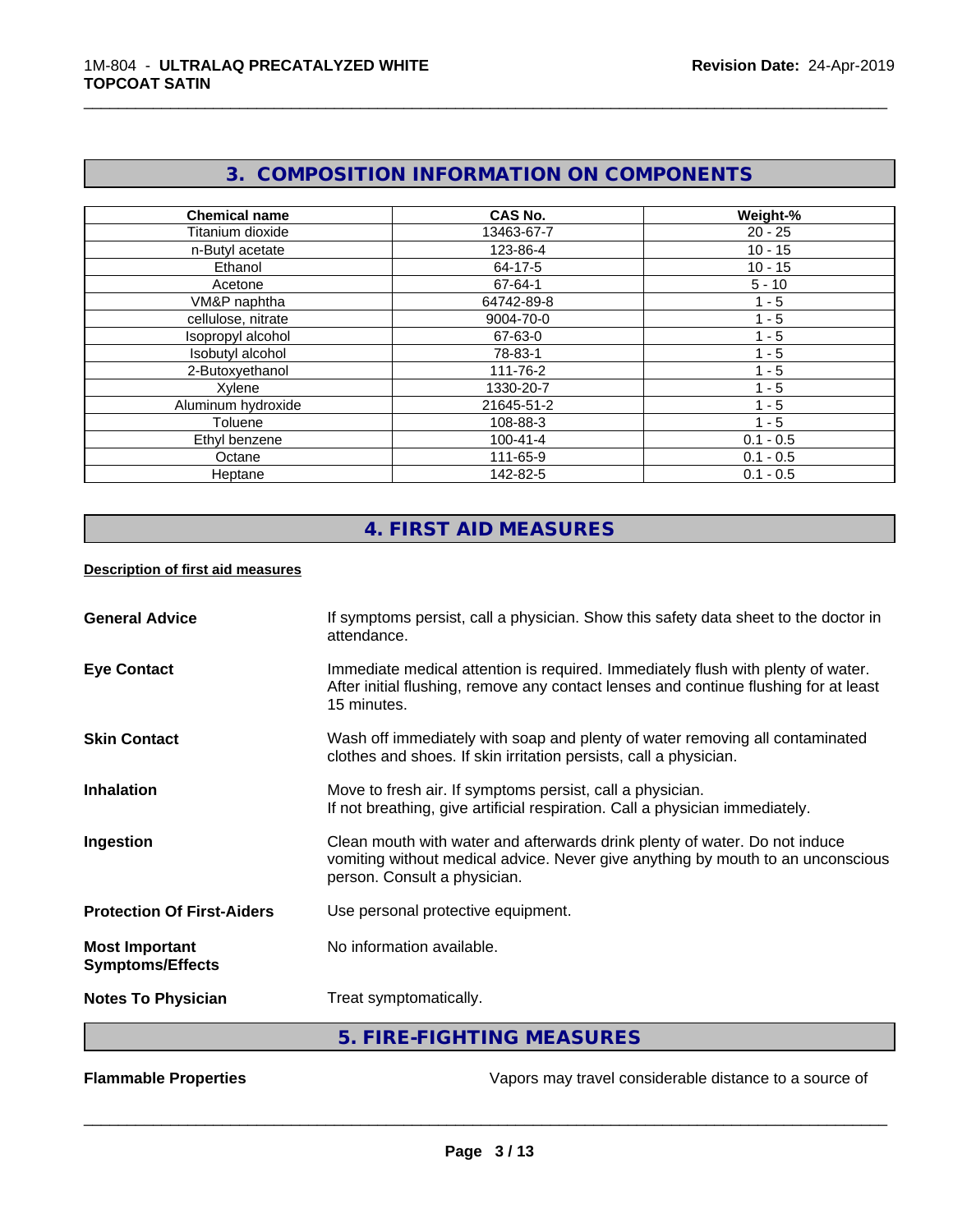# **3. COMPOSITION INFORMATION ON COMPONENTS**

\_\_\_\_\_\_\_\_\_\_\_\_\_\_\_\_\_\_\_\_\_\_\_\_\_\_\_\_\_\_\_\_\_\_\_\_\_\_\_\_\_\_\_\_\_\_\_\_\_\_\_\_\_\_\_\_\_\_\_\_\_\_\_\_\_\_\_\_\_\_\_\_\_\_\_\_\_\_\_\_\_\_\_\_\_\_\_\_\_\_\_\_\_

| <b>Chemical name</b> | <b>CAS No.</b> | Weight-%    |
|----------------------|----------------|-------------|
| Titanium dioxide     | 13463-67-7     | $20 - 25$   |
| n-Butyl acetate      | 123-86-4       | $10 - 15$   |
| Ethanol              | 64-17-5        | $10 - 15$   |
| Acetone              | 67-64-1        | $5 - 10$    |
| VM&P naphtha         | 64742-89-8     | $1 - 5$     |
| cellulose, nitrate   | 9004-70-0      | $1 - 5$     |
| Isopropyl alcohol    | 67-63-0        | $1 - 5$     |
| Isobutyl alcohol     | 78-83-1        | $1 - 5$     |
| 2-Butoxyethanol      | 111-76-2       | $1 - 5$     |
| Xylene               | 1330-20-7      | $-5$        |
| Aluminum hydroxide   | 21645-51-2     | $1 - 5$     |
| Toluene              | 108-88-3       | $1 - 5$     |
| Ethyl benzene        | $100 - 41 - 4$ | $0.1 - 0.5$ |
| Octane               | 111-65-9       | $0.1 - 0.5$ |
| Heptane              | 142-82-5       | $0.1 - 0.5$ |

# **4. FIRST AID MEASURES**

## **Description of first aid measures**

| <b>General Advice</b>                            | If symptoms persist, call a physician. Show this safety data sheet to the doctor in<br>attendance.                                                                                            |
|--------------------------------------------------|-----------------------------------------------------------------------------------------------------------------------------------------------------------------------------------------------|
| <b>Eye Contact</b>                               | Immediate medical attention is required. Immediately flush with plenty of water.<br>After initial flushing, remove any contact lenses and continue flushing for at least<br>15 minutes.       |
| <b>Skin Contact</b>                              | Wash off immediately with soap and plenty of water removing all contaminated<br>clothes and shoes. If skin irritation persists, call a physician.                                             |
| <b>Inhalation</b>                                | Move to fresh air. If symptoms persist, call a physician.<br>If not breathing, give artificial respiration. Call a physician immediately.                                                     |
| Ingestion                                        | Clean mouth with water and afterwards drink plenty of water. Do not induce<br>vomiting without medical advice. Never give anything by mouth to an unconscious<br>person. Consult a physician. |
| <b>Protection Of First-Aiders</b>                | Use personal protective equipment.                                                                                                                                                            |
| <b>Most Important</b><br><b>Symptoms/Effects</b> | No information available.                                                                                                                                                                     |
| <b>Notes To Physician</b>                        | Treat symptomatically.                                                                                                                                                                        |
|                                                  | 5. FIRE-FIGHTING MEASURES                                                                                                                                                                     |

**Flammable Properties Exercise Exercise Exercise 2 and Secure 1** Vapors may travel considerable distance to a source of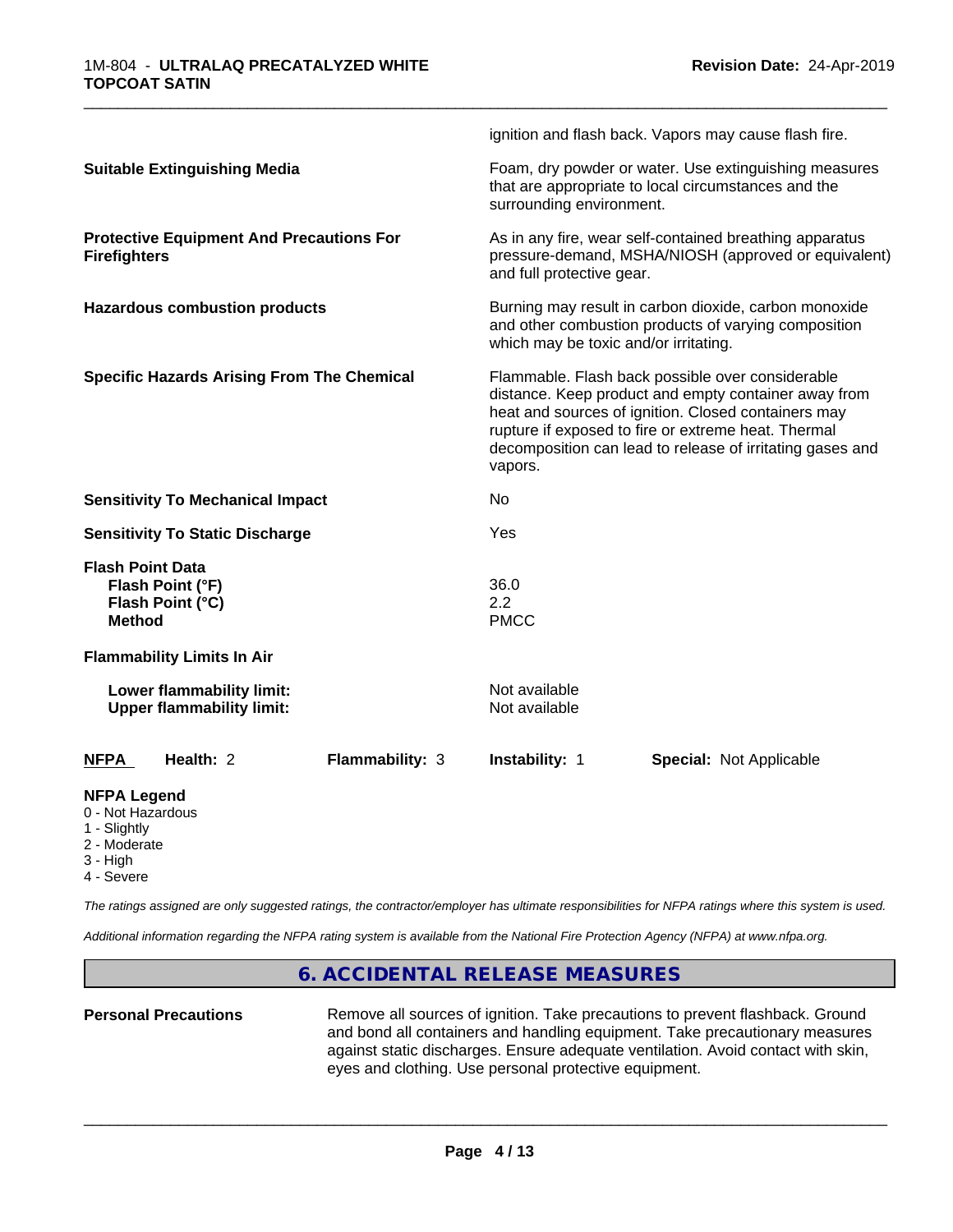|                                                                                  | ignition and flash back. Vapors may cause flash fire.                                                                                                                                                                                                                                          |  |
|----------------------------------------------------------------------------------|------------------------------------------------------------------------------------------------------------------------------------------------------------------------------------------------------------------------------------------------------------------------------------------------|--|
| <b>Suitable Extinguishing Media</b>                                              | Foam, dry powder or water. Use extinguishing measures<br>that are appropriate to local circumstances and the<br>surrounding environment.                                                                                                                                                       |  |
| <b>Protective Equipment And Precautions For</b><br><b>Firefighters</b>           | As in any fire, wear self-contained breathing apparatus<br>pressure-demand, MSHA/NIOSH (approved or equivalent)<br>and full protective gear.                                                                                                                                                   |  |
| <b>Hazardous combustion products</b>                                             | Burning may result in carbon dioxide, carbon monoxide<br>and other combustion products of varying composition<br>which may be toxic and/or irritating.                                                                                                                                         |  |
| <b>Specific Hazards Arising From The Chemical</b>                                | Flammable. Flash back possible over considerable<br>distance. Keep product and empty container away from<br>heat and sources of ignition. Closed containers may<br>rupture if exposed to fire or extreme heat. Thermal<br>decomposition can lead to release of irritating gases and<br>vapors. |  |
| <b>Sensitivity To Mechanical Impact</b>                                          | No                                                                                                                                                                                                                                                                                             |  |
| <b>Sensitivity To Static Discharge</b>                                           | Yes                                                                                                                                                                                                                                                                                            |  |
| <b>Flash Point Data</b><br>Flash Point (°F)<br>Flash Point (°C)<br><b>Method</b> | 36.0<br>2.2<br><b>PMCC</b>                                                                                                                                                                                                                                                                     |  |
| <b>Flammability Limits In Air</b>                                                |                                                                                                                                                                                                                                                                                                |  |
| Lower flammability limit:<br><b>Upper flammability limit:</b>                    | Not available<br>Not available                                                                                                                                                                                                                                                                 |  |
| Health: 2<br>Flammability: 3<br><b>NFPA</b>                                      | <b>Special: Not Applicable</b><br><b>Instability: 1</b>                                                                                                                                                                                                                                        |  |
| <b>NFPA Legend</b><br>0 - Not Hazardous<br>1 - Slightly                          |                                                                                                                                                                                                                                                                                                |  |

- 2 Moderate
- 3 High
- 4 Severe

*The ratings assigned are only suggested ratings, the contractor/employer has ultimate responsibilities for NFPA ratings where this system is used.*

*Additional information regarding the NFPA rating system is available from the National Fire Protection Agency (NFPA) at www.nfpa.org.*

## **6. ACCIDENTAL RELEASE MEASURES**

Personal Precautions **Remove all sources of ignition.** Take precautions to prevent flashback. Ground and bond all containers and handling equipment. Take precautionary measures against static discharges. Ensure adequate ventilation. Avoid contact with skin, eyes and clothing. Use personal protective equipment.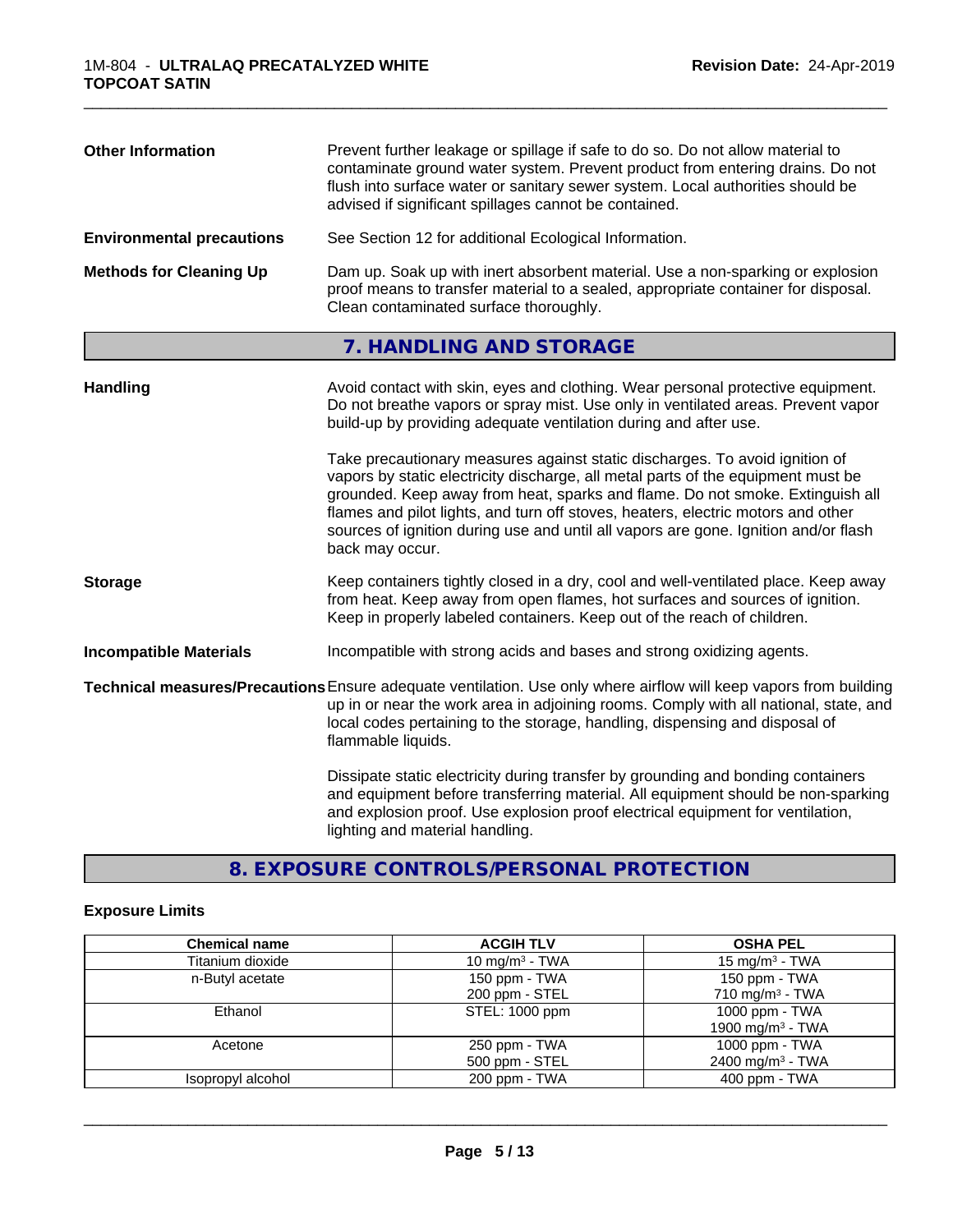| <b>Other Information</b>         | Prevent further leakage or spillage if safe to do so. Do not allow material to<br>contaminate ground water system. Prevent product from entering drains. Do not<br>flush into surface water or sanitary sewer system. Local authorities should be<br>advised if significant spillages cannot be contained. |
|----------------------------------|------------------------------------------------------------------------------------------------------------------------------------------------------------------------------------------------------------------------------------------------------------------------------------------------------------|
| <b>Environmental precautions</b> | See Section 12 for additional Ecological Information.                                                                                                                                                                                                                                                      |
| <b>Methods for Cleaning Up</b>   | Dam up. Soak up with inert absorbent material. Use a non-sparking or explosion<br>proof means to transfer material to a sealed, appropriate container for disposal.<br>Clean contaminated surface thoroughly.                                                                                              |

# **7. HANDLING AND STORAGE**

| <b>Handling</b>               | Avoid contact with skin, eyes and clothing. Wear personal protective equipment.<br>Do not breathe vapors or spray mist. Use only in ventilated areas. Prevent vapor<br>build-up by providing adequate ventilation during and after use.                                                                                                                                                                                                        |
|-------------------------------|------------------------------------------------------------------------------------------------------------------------------------------------------------------------------------------------------------------------------------------------------------------------------------------------------------------------------------------------------------------------------------------------------------------------------------------------|
|                               | Take precautionary measures against static discharges. To avoid ignition of<br>vapors by static electricity discharge, all metal parts of the equipment must be<br>grounded. Keep away from heat, sparks and flame. Do not smoke. Extinguish all<br>flames and pilot lights, and turn off stoves, heaters, electric motors and other<br>sources of ignition during use and until all vapors are gone. Ignition and/or flash<br>back may occur. |
| <b>Storage</b>                | Keep containers tightly closed in a dry, cool and well-ventilated place. Keep away<br>from heat. Keep away from open flames, hot surfaces and sources of ignition.<br>Keep in properly labeled containers. Keep out of the reach of children.                                                                                                                                                                                                  |
| <b>Incompatible Materials</b> | Incompatible with strong acids and bases and strong oxidizing agents.                                                                                                                                                                                                                                                                                                                                                                          |
|                               | Technical measures/Precautions Ensure adequate ventilation. Use only where airflow will keep vapors from building<br>up in or near the work area in adjoining rooms. Comply with all national, state, and<br>local codes pertaining to the storage, handling, dispensing and disposal of<br>flammable liquids.                                                                                                                                 |
|                               | Dissipate static electricity during transfer by grounding and bonding containers<br>and equipment before transferring material. All equipment should be non-sparking<br>and explosion proof. Use explosion proof electrical equipment for ventilation,<br>lighting and material handling.                                                                                                                                                      |

# **8. EXPOSURE CONTROLS/PERSONAL PROTECTION**

# **Exposure Limits**

| <b>Chemical name</b> | <b>ACGIH TLV</b>  | <b>OSHA PEL</b>              |
|----------------------|-------------------|------------------------------|
| Titanium dioxide     | 10 mg/m $3$ - TWA | $15 \text{ mg/m}^3$ - TWA    |
| n-Butyl acetate      | 150 ppm - TWA     | 150 ppm - TWA                |
|                      | 200 ppm - STEL    | $710 \text{ mg/m}^3$ - TWA   |
| Ethanol              | STEL: 1000 ppm    | 1000 ppm - TWA               |
|                      |                   | 1900 mg/m <sup>3</sup> - TWA |
| Acetone              | 250 ppm - TWA     | 1000 ppm - TWA               |
|                      | 500 ppm - STEL    | 2400 mg/m <sup>3</sup> - TWA |
| Isopropyl alcohol    | 200 ppm - TWA     | $400$ ppm - TWA              |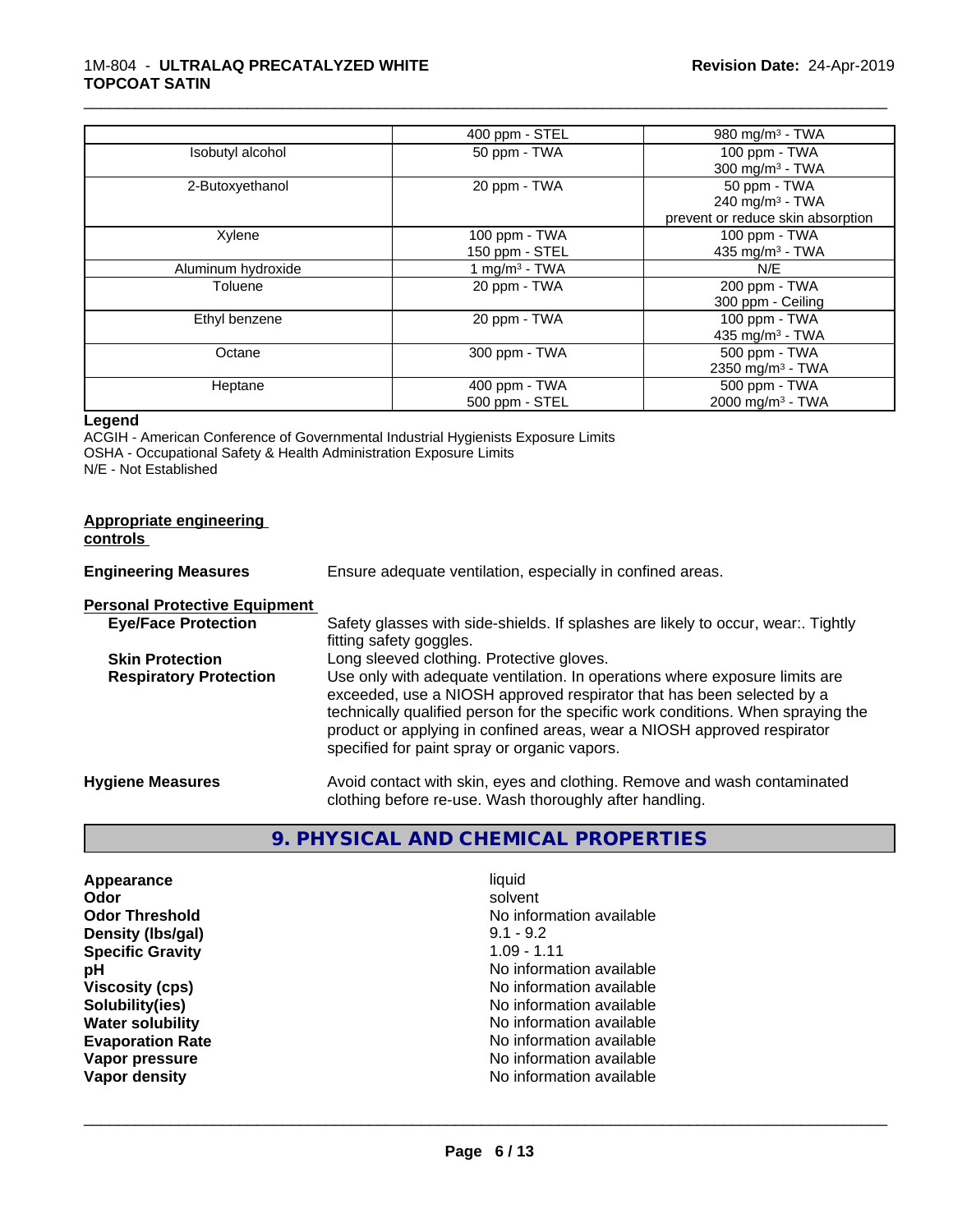## 1M-804 - **ULTRALAQ PRECATALYZED WHITE TOPCOAT SATIN**

|                    | 400 ppm - STEL                  | 980 mg/m $3$ - TWA                                                      |
|--------------------|---------------------------------|-------------------------------------------------------------------------|
| Isobutyl alcohol   | 50 ppm - TWA                    | 100 ppm - TWA<br>300 mg/m <sup>3</sup> - TWA                            |
| 2-Butoxyethanol    | 20 ppm - TWA                    | 50 ppm - TWA<br>240 mg/m $3$ - TWA<br>prevent or reduce skin absorption |
| Xylene             | 100 ppm - TWA<br>150 ppm - STEL | 100 ppm - TWA<br>435 mg/m <sup>3</sup> - TWA                            |
| Aluminum hydroxide | 1 mg/m <sup>3</sup> - TWA       | N/E                                                                     |
| Toluene            | 20 ppm - TWA                    | 200 ppm - TWA<br>300 ppm - Ceiling                                      |
| Ethyl benzene      | 20 ppm - TWA                    | 100 ppm - TWA<br>435 mg/m $3$ - TWA                                     |
| Octane             | 300 ppm - TWA                   | 500 ppm - TWA<br>2350 mg/m <sup>3</sup> - TWA                           |
| Heptane            | 400 ppm - TWA<br>500 ppm - STEL | 500 ppm - TWA<br>2000 mg/m <sup>3</sup> - TWA                           |

\_\_\_\_\_\_\_\_\_\_\_\_\_\_\_\_\_\_\_\_\_\_\_\_\_\_\_\_\_\_\_\_\_\_\_\_\_\_\_\_\_\_\_\_\_\_\_\_\_\_\_\_\_\_\_\_\_\_\_\_\_\_\_\_\_\_\_\_\_\_\_\_\_\_\_\_\_\_\_\_\_\_\_\_\_\_\_\_\_\_\_\_\_

## **Legend**

ACGIH - American Conference of Governmental Industrial Hygienists Exposure Limits OSHA - Occupational Safety & Health Administration Exposure Limits N/E - Not Established

| Appropriate engineering<br>controls  |                                                                                                                                                                                                                                                                                                                                                                     |
|--------------------------------------|---------------------------------------------------------------------------------------------------------------------------------------------------------------------------------------------------------------------------------------------------------------------------------------------------------------------------------------------------------------------|
| <b>Engineering Measures</b>          | Ensure adequate ventilation, especially in confined areas.                                                                                                                                                                                                                                                                                                          |
| <b>Personal Protective Equipment</b> |                                                                                                                                                                                                                                                                                                                                                                     |
| <b>Eye/Face Protection</b>           | Safety glasses with side-shields. If splashes are likely to occur, wear:. Tightly<br>fitting safety goggles.                                                                                                                                                                                                                                                        |
| <b>Skin Protection</b>               | Long sleeved clothing. Protective gloves.                                                                                                                                                                                                                                                                                                                           |
| <b>Respiratory Protection</b>        | Use only with adequate ventilation. In operations where exposure limits are<br>exceeded, use a NIOSH approved respirator that has been selected by a<br>technically qualified person for the specific work conditions. When spraying the<br>product or applying in confined areas, wear a NIOSH approved respirator<br>specified for paint spray or organic vapors. |
| <b>Hygiene Measures</b>              | Avoid contact with skin, eyes and clothing. Remove and wash contaminated<br>clothing before re-use. Wash thoroughly after handling.                                                                                                                                                                                                                                 |

# **9. PHYSICAL AND CHEMICAL PROPERTIES**

| Appearance              | liquid                   |
|-------------------------|--------------------------|
| Odor                    | solvent                  |
| <b>Odor Threshold</b>   | No information available |
| Density (Ibs/gal)       | $9.1 - 9.2$              |
| <b>Specific Gravity</b> | $1.09 - 1.11$            |
| рH                      | No information available |
| <b>Viscosity (cps)</b>  | No information available |
| Solubility(ies)         | No information available |
| <b>Water solubility</b> | No information available |
| <b>Evaporation Rate</b> | No information available |
| Vapor pressure          | No information available |
| Vapor density           | No information available |
|                         |                          |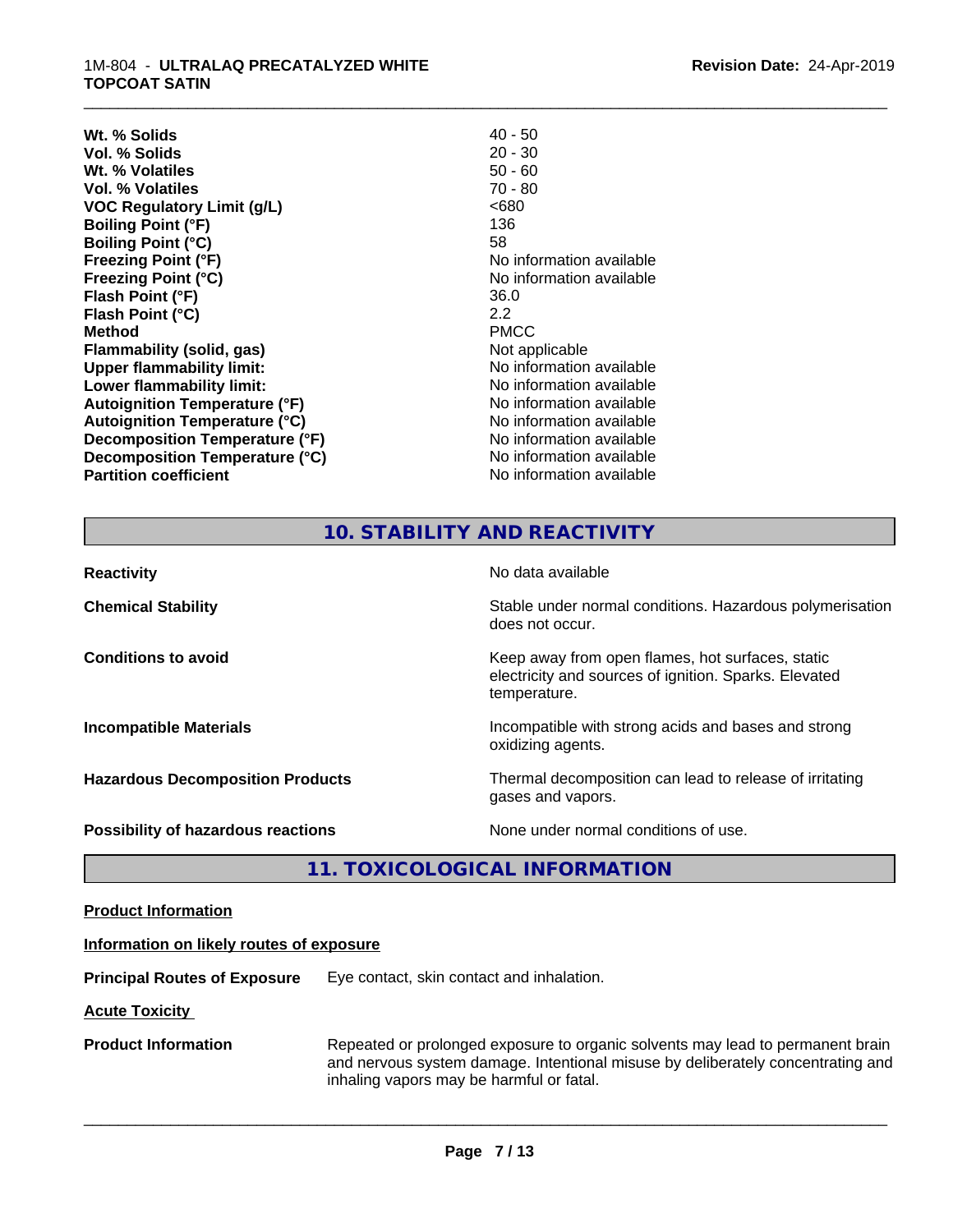#### 1M-804 - **ULTRALAQ PRECATALYZED WHITE TOPCOAT SATIN**

| $40 - 50$                |
|--------------------------|
| $20 - 30$                |
| $50 - 60$                |
| $70 - 80$                |
| <680                     |
| 136                      |
| 58                       |
| No information available |
| No information available |
| 36.0                     |
| $2.2^{\circ}$            |
| <b>PMCC</b>              |
| Not applicable           |
| No information available |
| No information available |
| No information available |
| No information available |
| No information available |
| No information available |
| No information available |
|                          |

# **10. STABILITY AND REACTIVITY**

\_\_\_\_\_\_\_\_\_\_\_\_\_\_\_\_\_\_\_\_\_\_\_\_\_\_\_\_\_\_\_\_\_\_\_\_\_\_\_\_\_\_\_\_\_\_\_\_\_\_\_\_\_\_\_\_\_\_\_\_\_\_\_\_\_\_\_\_\_\_\_\_\_\_\_\_\_\_\_\_\_\_\_\_\_\_\_\_\_\_\_\_\_

| <b>Reactivity</b>                       | No data available                                                                                                         |
|-----------------------------------------|---------------------------------------------------------------------------------------------------------------------------|
| <b>Chemical Stability</b>               | Stable under normal conditions. Hazardous polymerisation<br>does not occur.                                               |
| <b>Conditions to avoid</b>              | Keep away from open flames, hot surfaces, static<br>electricity and sources of ignition. Sparks. Elevated<br>temperature. |
| <b>Incompatible Materials</b>           | Incompatible with strong acids and bases and strong<br>oxidizing agents.                                                  |
| <b>Hazardous Decomposition Products</b> | Thermal decomposition can lead to release of irritating<br>gases and vapors.                                              |
| Possibility of hazardous reactions      | None under normal conditions of use.                                                                                      |

# **11. TOXICOLOGICAL INFORMATION**

| <b>Product Information</b> |
|----------------------------|
|----------------------------|

### **Information on likely routes of exposure**

**Principal Routes of Exposure** Eye contact, skin contact and inhalation.

**Acute Toxicity** 

**Product Information** Repeated or prolonged exposure to organic solvents may lead to permanent brain and nervous system damage. Intentional misuse by deliberately concentrating and inhaling vapors may be harmful or fatal.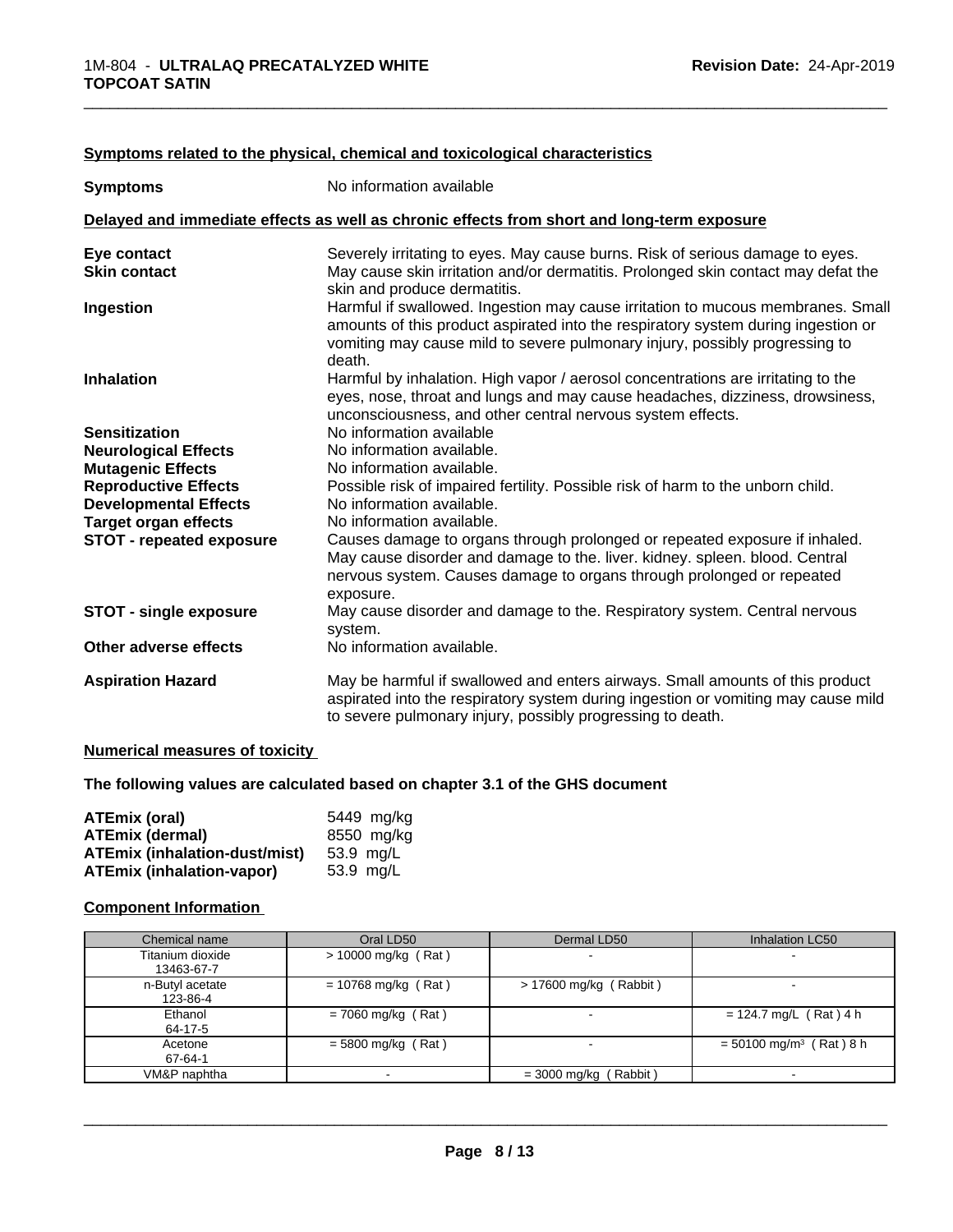| <b>Symptoms</b>                 | No information available                                                                                                                                                                                                                                      |
|---------------------------------|---------------------------------------------------------------------------------------------------------------------------------------------------------------------------------------------------------------------------------------------------------------|
|                                 | Delayed and immediate effects as well as chronic effects from short and long-term exposure                                                                                                                                                                    |
| Eye contact                     | Severely irritating to eyes. May cause burns. Risk of serious damage to eyes.                                                                                                                                                                                 |
| <b>Skin contact</b>             | May cause skin irritation and/or dermatitis. Prolonged skin contact may defat the<br>skin and produce dermatitis.                                                                                                                                             |
| Ingestion                       | Harmful if swallowed. Ingestion may cause irritation to mucous membranes. Small<br>amounts of this product aspirated into the respiratory system during ingestion or<br>vomiting may cause mild to severe pulmonary injury, possibly progressing to<br>death. |
| <b>Inhalation</b>               | Harmful by inhalation. High vapor / aerosol concentrations are irritating to the<br>eyes, nose, throat and lungs and may cause headaches, dizziness, drowsiness,<br>unconsciousness, and other central nervous system effects.                                |
| <b>Sensitization</b>            | No information available                                                                                                                                                                                                                                      |
| <b>Neurological Effects</b>     | No information available.                                                                                                                                                                                                                                     |
| <b>Mutagenic Effects</b>        | No information available.                                                                                                                                                                                                                                     |
| <b>Reproductive Effects</b>     | Possible risk of impaired fertility. Possible risk of harm to the unborn child.                                                                                                                                                                               |
| <b>Developmental Effects</b>    | No information available.                                                                                                                                                                                                                                     |
| <b>Target organ effects</b>     | No information available.                                                                                                                                                                                                                                     |
| <b>STOT - repeated exposure</b> | Causes damage to organs through prolonged or repeated exposure if inhaled.<br>May cause disorder and damage to the. liver. kidney. spleen. blood. Central<br>nervous system. Causes damage to organs through prolonged or repeated<br>exposure.               |
| <b>STOT - single exposure</b>   | May cause disorder and damage to the. Respiratory system. Central nervous<br>system.                                                                                                                                                                          |
| Other adverse effects           | No information available.                                                                                                                                                                                                                                     |
| <b>Aspiration Hazard</b>        | May be harmful if swallowed and enters airways. Small amounts of this product<br>aspirated into the respiratory system during ingestion or vomiting may cause mild<br>to severe pulmonary injury, possibly progressing to death.                              |

## **Symptoms related to the physical,chemical and toxicological characteristics**

## **Numerical measures of toxicity**

## **The following values are calculated based on chapter 3.1 of the GHS document**

| ATEmix (oral)                        | 5449 mg/ka |
|--------------------------------------|------------|
| <b>ATEmix (dermal)</b>               | 8550 mg/kg |
| <b>ATEmix (inhalation-dust/mist)</b> | 53.9 mg/L  |
| <b>ATEmix (inhalation-vapor)</b>     | 53.9 ma/L  |

## **Component Information**

| Chemical name                  | Oral LD50             | Dermal LD50              | Inhalation LC50                       |
|--------------------------------|-----------------------|--------------------------|---------------------------------------|
| Titanium dioxide<br>13463-67-7 | $> 10000$ mg/kg (Rat) | $\overline{\phantom{a}}$ | $\blacksquare$                        |
| n-Butyl acetate<br>123-86-4    | $= 10768$ mg/kg (Rat) | > 17600 mg/kg (Rabbit)   |                                       |
| Ethanol<br>64-17-5             | $= 7060$ mg/kg (Rat)  | $\overline{\phantom{0}}$ | $= 124.7$ mg/L (Rat) 4 h              |
| Acetone<br>67-64-1             | $=$ 5800 mg/kg (Rat)  |                          | $= 50100$ mg/m <sup>3</sup> (Rat) 8 h |
| VM&P naphtha                   |                       | $=$ 3000 mg/kg (Rabbit)  |                                       |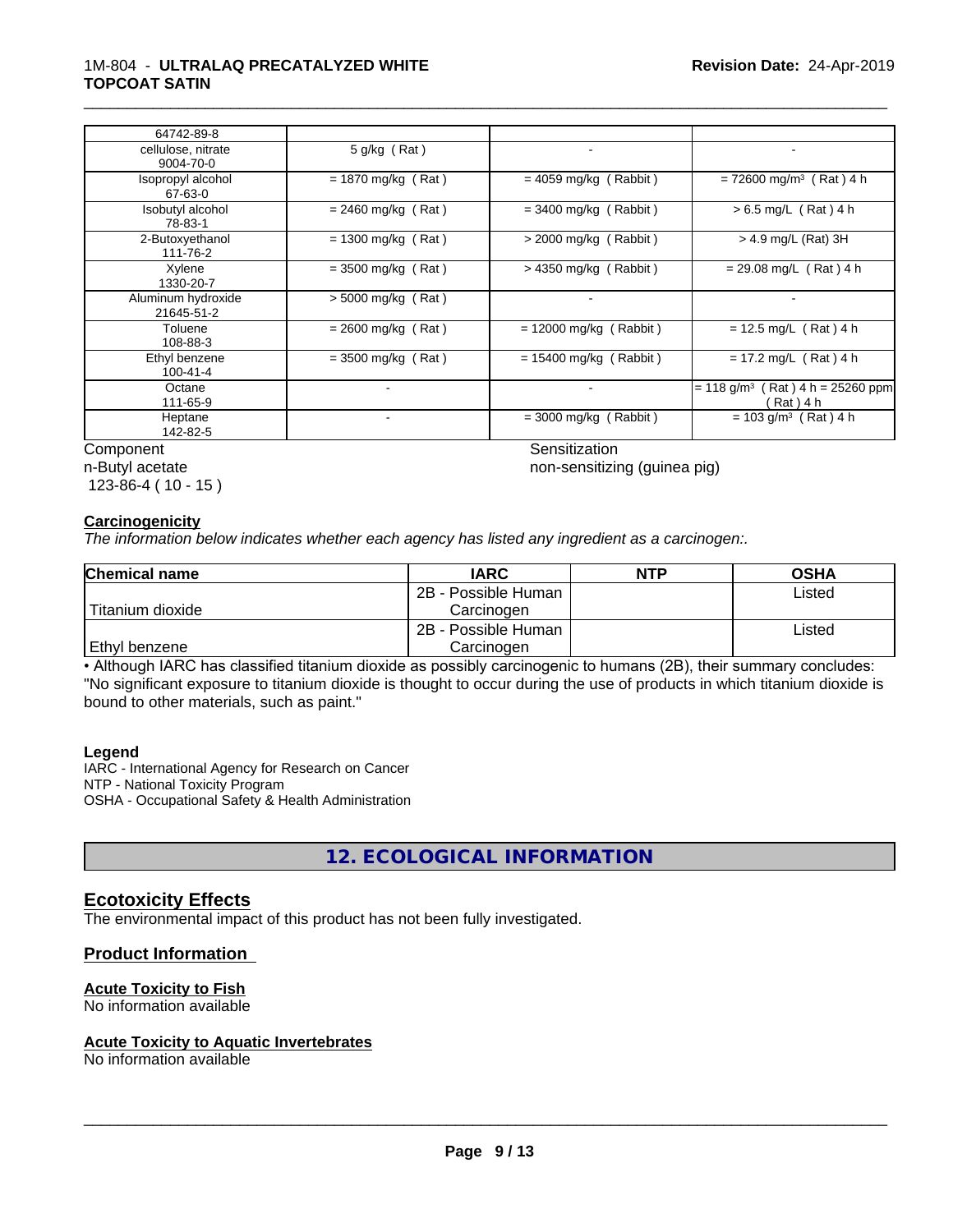| 64742-89-8                       |                      |                          |                                                               |
|----------------------------------|----------------------|--------------------------|---------------------------------------------------------------|
| cellulose, nitrate<br>9004-70-0  | 5 g/kg (Rat)         |                          |                                                               |
| Isopropyl alcohol<br>67-63-0     | $= 1870$ mg/kg (Rat) | $= 4059$ mg/kg (Rabbit)  | $= 72600$ mg/m <sup>3</sup> (Rat) 4 h                         |
| Isobutyl alcohol<br>78-83-1      | $= 2460$ mg/kg (Rat) | $=$ 3400 mg/kg (Rabbit)  | $> 6.5$ mg/L (Rat) 4 h                                        |
| 2-Butoxyethanol<br>111-76-2      | $= 1300$ mg/kg (Rat) | $>$ 2000 mg/kg (Rabbit)  | $> 4.9$ mg/L (Rat) 3H                                         |
| Xylene<br>1330-20-7              | $=$ 3500 mg/kg (Rat) | $>$ 4350 mg/kg (Rabbit)  | $= 29.08$ mg/L (Rat) 4 h                                      |
| Aluminum hydroxide<br>21645-51-2 | > 5000 mg/kg (Rat)   |                          |                                                               |
| Toluene<br>108-88-3              | $= 2600$ mg/kg (Rat) | $= 12000$ mg/kg (Rabbit) | $= 12.5$ mg/L (Rat) 4 h                                       |
| Ethyl benzene<br>100-41-4        | $=$ 3500 mg/kg (Rat) | $= 15400$ mg/kg (Rabbit) | $= 17.2$ mg/L (Rat) 4 h                                       |
| Octane<br>111-65-9               |                      |                          | $= 118$ g/m <sup>3</sup><br>Rat ) 4 h = 25260 ppm<br>(Rat)4 h |
| Heptane<br>142-82-5              |                      | $=$ 3000 mg/kg (Rabbit)  | $= 103$ g/m <sup>3</sup> (Rat) 4 h                            |

Component Sensitization

n-Butyl acetate 123-86-4 ( 10 - 15 )

\_\_\_\_\_\_\_\_\_\_\_\_\_\_\_\_\_\_\_\_\_\_\_\_\_\_\_\_\_\_\_\_\_\_\_\_\_\_\_\_\_\_\_\_\_\_\_\_\_\_\_\_\_\_\_\_\_\_\_\_\_\_\_\_\_\_\_\_\_\_\_\_\_\_\_\_\_\_\_\_\_\_\_\_\_\_\_\_\_\_\_\_\_

non-sensitizing (guinea pig)

#### **Carcinogenicity**

*The information below indicateswhether each agency has listed any ingredient as a carcinogen:.*

| <b>Chemical name</b> | <b>IARC</b>         | <b>NTP</b> | <b>OSHA</b> |
|----------------------|---------------------|------------|-------------|
|                      | 2B - Possible Human |            | Listed      |
| Titanium dioxide     | Carcinoɑen          |            |             |
|                      | 2B - Possible Human |            | Listed      |
| Ethyl benzene        | Carcinogen          |            |             |

• Although IARC has classified titanium dioxide as possibly carcinogenic to humans (2B), their summary concludes: "No significant exposure to titanium dioxide is thought to occur during the use of products in which titanium dioxide is bound to other materials, such as paint."

#### **Legend**

IARC - International Agency for Research on Cancer NTP - National Toxicity Program OSHA - Occupational Safety & Health Administration

**12. ECOLOGICAL INFORMATION**

## **Ecotoxicity Effects**

The environmental impact of this product has not been fully investigated.

## **Product Information**

#### **Acute Toxicity to Fish**

No information available

#### **Acute Toxicity to Aquatic Invertebrates**

No information available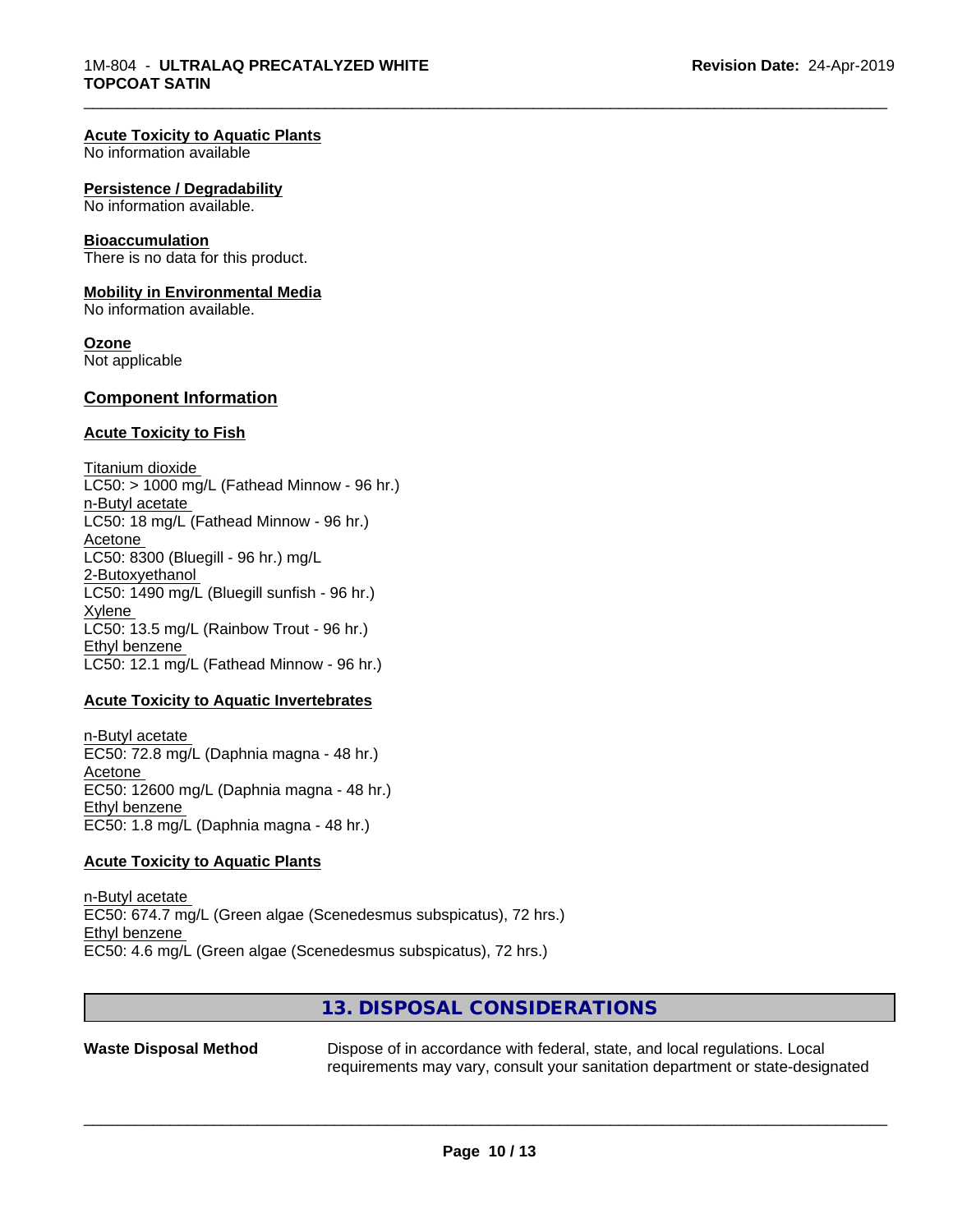#### **Acute Toxicity to Aquatic Plants**

No information available

#### **Persistence / Degradability**

No information available.

#### **Bioaccumulation**

There is no data for this product.

#### **Mobility in Environmental Media**

No information available.

#### **Ozone**

Not applicable

#### **Component Information**

#### **Acute Toxicity to Fish**

Titanium dioxide  $LC50:$  > 1000 mg/L (Fathead Minnow - 96 hr.) n-Butyl acetate LC50: 18 mg/L (Fathead Minnow - 96 hr.) Acetone LC50: 8300 (Bluegill - 96 hr.) mg/L 2-Butoxyethanol LC50: 1490 mg/L (Bluegill sunfish - 96 hr.) Xylene LC50: 13.5 mg/L (Rainbow Trout - 96 hr.) Ethyl benzene LC50: 12.1 mg/L (Fathead Minnow - 96 hr.)

#### **Acute Toxicity to Aquatic Invertebrates**

n-Butyl acetate EC50: 72.8 mg/L (Daphnia magna - 48 hr.) Acetone EC50: 12600 mg/L (Daphnia magna - 48 hr.) Ethyl benzene EC50: 1.8 mg/L (Daphnia magna - 48 hr.)

#### **Acute Toxicity to Aquatic Plants**

n-Butyl acetate EC50: 674.7 mg/L (Green algae (Scenedesmus subspicatus), 72 hrs.) Ethyl benzene EC50: 4.6 mg/L (Green algae (Scenedesmus subspicatus), 72 hrs.)

## **13. DISPOSAL CONSIDERATIONS**

**Waste Disposal Method** Dispose of in accordance with federal, state, and local regulations. Local requirements may vary, consult your sanitation department or state-designated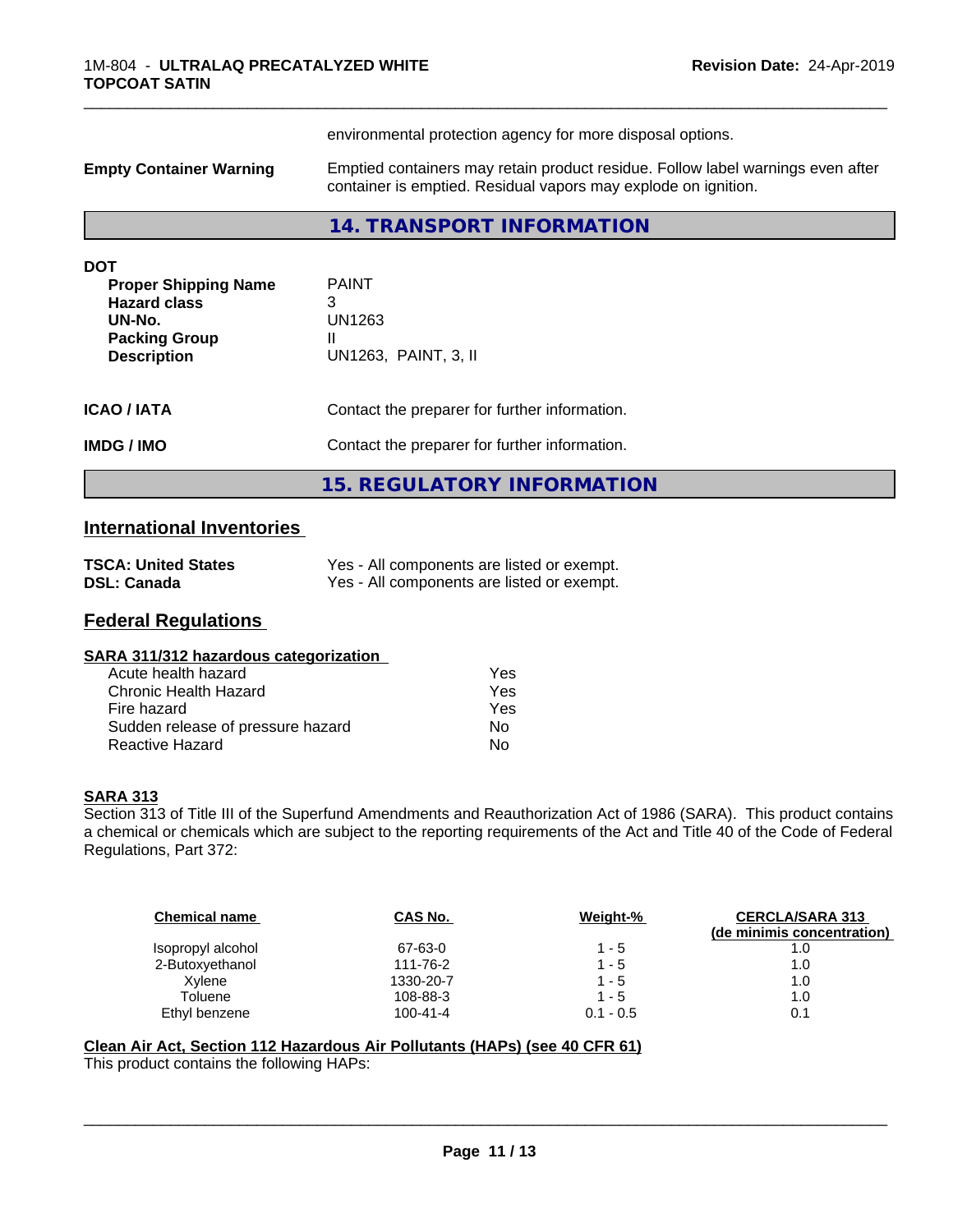|                                                                                                                          | environmental protection agency for more disposal options.                                                                                        |  |  |
|--------------------------------------------------------------------------------------------------------------------------|---------------------------------------------------------------------------------------------------------------------------------------------------|--|--|
| <b>Empty Container Warning</b>                                                                                           | Emptied containers may retain product residue. Follow label warnings even after<br>container is emptied. Residual vapors may explode on ignition. |  |  |
|                                                                                                                          | 14. TRANSPORT INFORMATION                                                                                                                         |  |  |
| <b>DOT</b><br><b>Proper Shipping Name</b><br><b>Hazard class</b><br>UN-No.<br><b>Packing Group</b><br><b>Description</b> | <b>PAINT</b><br>3<br>UN1263<br>II<br>UN1263, PAINT, 3, II                                                                                         |  |  |
| <b>ICAO / IATA</b>                                                                                                       | Contact the preparer for further information.                                                                                                     |  |  |
| <b>IMDG / IMO</b>                                                                                                        | Contact the preparer for further information.                                                                                                     |  |  |
|                                                                                                                          | <b>15. REGULATORY INFORMATION</b>                                                                                                                 |  |  |

# **International Inventories**

| <b>TSCA: United States</b> | Yes - All components are listed or exempt. |
|----------------------------|--------------------------------------------|
| <b>DSL: Canada</b>         | Yes - All components are listed or exempt. |

# **Federal Regulations**

| SARA 311/312 hazardous categorization |
|---------------------------------------|
|---------------------------------------|

| Acute health hazard               | Yes |
|-----------------------------------|-----|
| Chronic Health Hazard             | Yes |
| Fire hazard                       | Yes |
| Sudden release of pressure hazard | Nο  |
| Reactive Hazard                   | N٥  |

## **SARA 313**

Section 313 of Title III of the Superfund Amendments and Reauthorization Act of 1986 (SARA). This product contains a chemical or chemicals which are subject to the reporting requirements of the Act and Title 40 of the Code of Federal Regulations, Part 372:

| <b>Chemical name</b> | CAS No.        | Weight-%    | <b>CERCLA/SARA 313</b><br>(de minimis concentration) |
|----------------------|----------------|-------------|------------------------------------------------------|
| Isopropyl alcohol    | 67-63-0        | 1 - 5       | 1.0                                                  |
| 2-Butoxyethanol      | 111-76-2       | $1 - 5$     | 1.0                                                  |
| Xvlene               | 1330-20-7      | $1 - 5$     | 1.0                                                  |
| Toluene              | 108-88-3       | $1 - 5$     | 1.0                                                  |
| Ethyl benzene        | $100 - 41 - 4$ | $0.1 - 0.5$ | 0.1                                                  |

 $\overline{\phantom{a}}$  ,  $\overline{\phantom{a}}$  ,  $\overline{\phantom{a}}$  ,  $\overline{\phantom{a}}$  ,  $\overline{\phantom{a}}$  ,  $\overline{\phantom{a}}$  ,  $\overline{\phantom{a}}$  ,  $\overline{\phantom{a}}$  ,  $\overline{\phantom{a}}$  ,  $\overline{\phantom{a}}$  ,  $\overline{\phantom{a}}$  ,  $\overline{\phantom{a}}$  ,  $\overline{\phantom{a}}$  ,  $\overline{\phantom{a}}$  ,  $\overline{\phantom{a}}$  ,  $\overline{\phantom{a}}$ 

## **Clean Air Act,Section 112 Hazardous Air Pollutants (HAPs) (see 40 CFR 61)**

This product contains the following HAPs: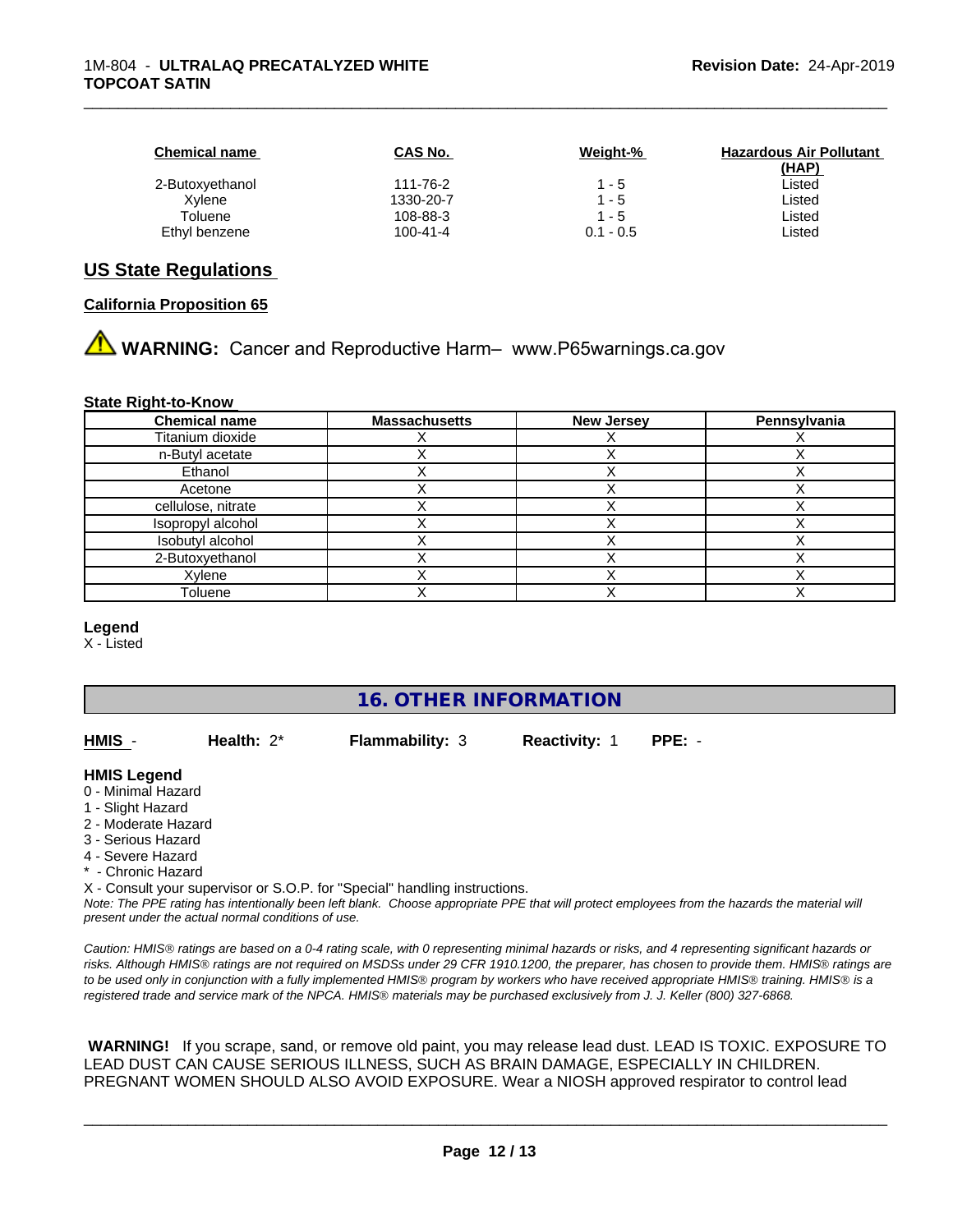| <b>Chemical name</b> | <b>CAS No.</b> | Weight-%    | <b>Hazardous Air Pollutant</b> |
|----------------------|----------------|-------------|--------------------------------|
|                      |                |             | (HAP)                          |
| 2-Butoxyethanol      | 111-76-2       | $1 - 5$     | Listed                         |
| Xvlene               | 1330-20-7      | $1 - 5$     | Listed                         |
| Toluene              | 108-88-3       | $1 - 5$     | ∟isted                         |
| Ethyl benzene        | $100 - 41 - 4$ | $0.1 - 0.5$ | ∟isted                         |

## **US State Regulations**

#### **California Proposition 65**

# **A** WARNING: Cancer and Reproductive Harm– www.P65warnings.ca.gov

#### **State Right-to-Know**

| <b>Chemical name</b> | <b>Massachusetts</b> | <b>New Jersey</b> | Pennsylvania |
|----------------------|----------------------|-------------------|--------------|
| Titanium dioxide     |                      |                   |              |
| n-Butyl acetate      |                      |                   |              |
| Ethanol              |                      |                   |              |
| Acetone              |                      |                   |              |
| cellulose, nitrate   |                      |                   |              |
| Isopropyl alcohol    |                      |                   |              |
| Isobutyl alcohol     |                      |                   |              |
| 2-Butoxyethanol      |                      |                   |              |
| Xylene               |                      |                   |              |
| Toluene              |                      |                   |              |

#### **Legend**

X - Listed

# **16. OTHER INFORMATION**

**HMIS** - **Health:** 2\* **Flammability:** 3 **Reactivity:** 1 **PPE:** -

#### **HMIS Legend**

- 0 Minimal Hazard
- 1 Slight Hazard
- 2 Moderate Hazard
- 3 Serious Hazard
- 4 Severe Hazard
- Chronic Hazard
- X Consult your supervisor or S.O.P. for "Special" handling instructions.

*Note: The PPE rating has intentionally been left blank. Choose appropriate PPE that will protect employees from the hazards the material will present under the actual normal conditions of use.*

*Caution: HMISÒ ratings are based on a 0-4 rating scale, with 0 representing minimal hazards or risks, and 4 representing significant hazards or risks. Although HMISÒ ratings are not required on MSDSs under 29 CFR 1910.1200, the preparer, has chosen to provide them. HMISÒ ratings are to be used only in conjunction with a fully implemented HMISÒ program by workers who have received appropriate HMISÒ training. HMISÒ is a registered trade and service mark of the NPCA. HMISÒ materials may be purchased exclusively from J. J. Keller (800) 327-6868.*

 **WARNING!** If you scrape, sand, or remove old paint, you may release lead dust. LEAD IS TOXIC. EXPOSURE TO LEAD DUST CAN CAUSE SERIOUS ILLNESS, SUCH AS BRAIN DAMAGE, ESPECIALLY IN CHILDREN. PREGNANT WOMEN SHOULD ALSO AVOID EXPOSURE.Wear a NIOSH approved respirator to control lead